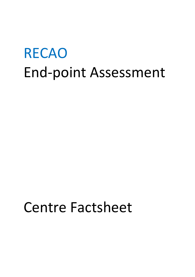# RECAO End-point Assessment

## Centre Factsheet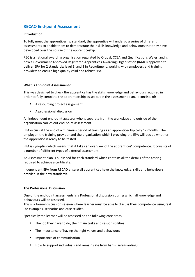### **RECAO End-point Assessment**

#### **Introduction**

To fully meet the apprenticeship standard, the apprentice will undergo a series of different assessments to enable them to demonstrate their skills knowledge and behaviours that they have developed over the course of the apprenticeship.

REC is a national awarding organisation regulated by Ofqual, CCEA and Qualifications Wales, and is now a Government Approved Registered Apprentices Awarding Organisation (RAAO) approved to deliver EPA for 2 standards: level 2, and 3 in Recruitment, working with employers and training providers to ensure high quality valid and robust EPA.

#### **What is End-point Assessment?**

This was designed to check the apprentice has the skills, knowledge and behaviours required in order to fully complete the apprenticeship as set out in the assessment plan. It consists of:

- A resourcing project assignment
- A professional discussion

An independent end-point assessor who is separate from the workplace and outside of the organisation carries out end-point assessment.

EPA occurs at the end of a minimum period of training as an apprentice- typically 12 months. The employer, the training provider and the organisation which I providing the EPA will decide whether the apprentice is ready to be tested.

EPA is synoptic- which means that it takes an overview of the apprentices' competence. It consists of a number of different types of external assessment.

An Assessment plan is published for each standard which contains all the details of the testing required to achieve a certificate.

Independent EPA from RECAO ensure all apprentices have the knowledge, skills and behaviours detailed in the new standards.

#### **The Professional Discussion**

One of the end-point assessments is a Professional discussion during which all knowledge and behaviours will be assessed.

This is a formal discussion session where learner must be able to discuss their competence using real life examples, scenarios and case studies.

Specifically the learner will be assessed on the following core areas:

- The job they have to do, their main tasks and responsibilities
- The importance of having the right values and behaviours
- Importance of communication
- How to support individuals and remain safe from harm (safeguarding)